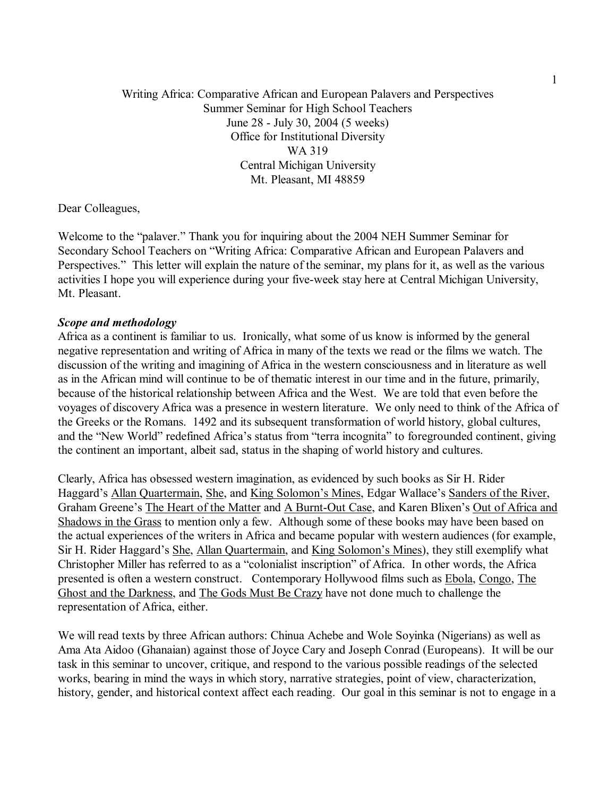Writing Africa: Comparative African and European Palavers and Perspectives Summer Seminar for High School Teachers June 28 - July 30, 2004 (5 weeks) Office for Institutional Diversity WA 319 Central Michigan University Mt. Pleasant, MI 48859

Dear Colleagues,

Welcome to the "palaver." Thank you for inquiring about the 2004 NEH Summer Seminar for Secondary School Teachers on "Writing Africa: Comparative African and European Palavers and Perspectives." This letter will explain the nature of the seminar, my plans for it, as well as the various activities I hope you will experience during your five-week stay here at Central Michigan University, Mt. Pleasant.

### *Scope and methodology*

Africa as a continent is familiar to us. Ironically, what some of us know is informed by the general negative representation and writing of Africa in many of the texts we read or the films we watch. The discussion of the writing and imagining of Africa in the western consciousness and in literature as well as in the African mind will continue to be of thematic interest in our time and in the future, primarily, because of the historical relationship between Africa and the West. We are told that even before the voyages of discovery Africa was a presence in western literature. We only need to think of the Africa of the Greeks or the Romans. 1492 and its subsequent transformation of world history, global cultures, and the "New World" redefined Africa's status from "terra incognita" to foregrounded continent, giving the continent an important, albeit sad, status in the shaping of world history and cultures.

Clearly, Africa has obsessed western imagination, as evidenced by such books as Sir H. Rider Haggard's Allan Quartermain, She, and King Solomon's Mines, Edgar Wallace's Sanders of the River, Graham Greene's The Heart of the Matter and A Burnt-Out Case, and Karen Blixen's Out of Africa and Shadows in the Grass to mention only a few. Although some of these books may have been based on the actual experiences of the writers in Africa and became popular with western audiences (for example, Sir H. Rider Haggard's She, Allan Quartermain, and King Solomon's Mines), they still exemplify what Christopher Miller has referred to as a "colonialist inscription" of Africa. In other words, the Africa presented is often a western construct. Contemporary Hollywood films such as Ebola, Congo, The Ghost and the Darkness, and The Gods Must Be Crazy have not done much to challenge the representation of Africa, either.

We will read texts by three African authors: Chinua Achebe and Wole Soyinka (Nigerians) as well as Ama Ata Aidoo (Ghanaian) against those of Joyce Cary and Joseph Conrad (Europeans). It will be our task in this seminar to uncover, critique, and respond to the various possible readings of the selected works, bearing in mind the ways in which story, narrative strategies, point of view, characterization, history, gender, and historical context affect each reading. Our goal in this seminar is not to engage in a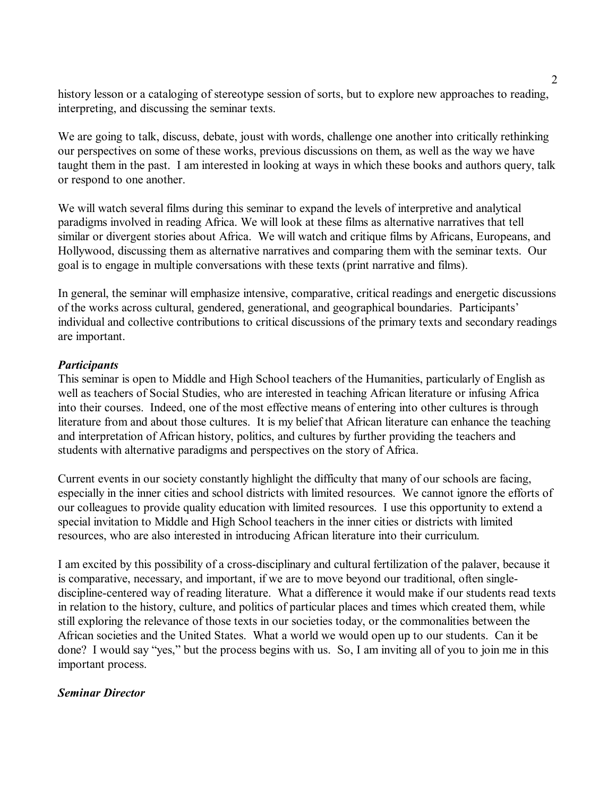history lesson or a cataloging of stereotype session of sorts, but to explore new approaches to reading, interpreting, and discussing the seminar texts.

We are going to talk, discuss, debate, joust with words, challenge one another into critically rethinking our perspectives on some of these works, previous discussions on them, as well as the way we have taught them in the past. I am interested in looking at ways in which these books and authors query, talk or respond to one another.

We will watch several films during this seminar to expand the levels of interpretive and analytical paradigms involved in reading Africa. We will look at these films as alternative narratives that tell similar or divergent stories about Africa. We will watch and critique films by Africans, Europeans, and Hollywood, discussing them as alternative narratives and comparing them with the seminar texts. Our goal is to engage in multiple conversations with these texts (print narrative and films).

In general, the seminar will emphasize intensive, comparative, critical readings and energetic discussions of the works across cultural, gendered, generational, and geographical boundaries. Participantsí individual and collective contributions to critical discussions of the primary texts and secondary readings are important.

# *Participants*

This seminar is open to Middle and High School teachers of the Humanities, particularly of English as well as teachers of Social Studies, who are interested in teaching African literature or infusing Africa into their courses. Indeed, one of the most effective means of entering into other cultures is through literature from and about those cultures. It is my belief that African literature can enhance the teaching and interpretation of African history, politics, and cultures by further providing the teachers and students with alternative paradigms and perspectives on the story of Africa.

Current events in our society constantly highlight the difficulty that many of our schools are facing, especially in the inner cities and school districts with limited resources. We cannot ignore the efforts of our colleagues to provide quality education with limited resources. I use this opportunity to extend a special invitation to Middle and High School teachers in the inner cities or districts with limited resources, who are also interested in introducing African literature into their curriculum.

I am excited by this possibility of a cross-disciplinary and cultural fertilization of the palaver, because it is comparative, necessary, and important, if we are to move beyond our traditional, often singlediscipline-centered way of reading literature. What a difference it would make if our students read texts in relation to the history, culture, and politics of particular places and times which created them, while still exploring the relevance of those texts in our societies today, or the commonalities between the African societies and the United States. What a world we would open up to our students. Can it be done? I would say "yes," but the process begins with us. So, I am inviting all of you to join me in this important process.

## *Seminar Director*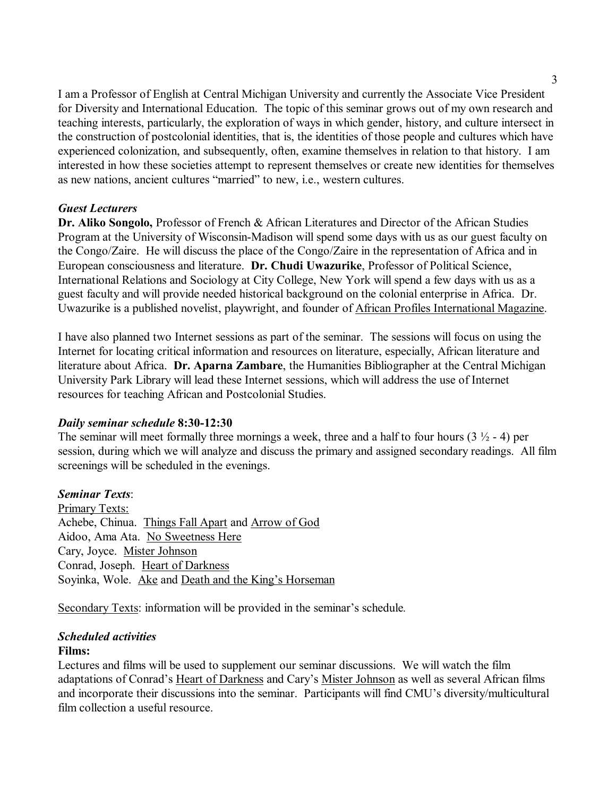I am a Professor of English at Central Michigan University and currently the Associate Vice President for Diversity and International Education. The topic of this seminar grows out of my own research and teaching interests, particularly, the exploration of ways in which gender, history, and culture intersect in the construction of postcolonial identities, that is, the identities of those people and cultures which have experienced colonization, and subsequently, often, examine themselves in relation to that history. I am interested in how these societies attempt to represent themselves or create new identities for themselves as new nations, ancient cultures "married" to new, i.e., western cultures.

# *Guest Lecturers*

**Dr. Aliko Songolo,** Professor of French & African Literatures and Director of the African Studies Program at the University of Wisconsin-Madison will spend some days with us as our guest faculty on the Congo/Zaire. He will discuss the place of the Congo/Zaire in the representation of Africa and in European consciousness and literature. **Dr. Chudi Uwazurike**, Professor of Political Science, International Relations and Sociology at City College, New York will spend a few days with us as a guest faculty and will provide needed historical background on the colonial enterprise in Africa. Dr. Uwazurike is a published novelist, playwright, and founder of African Profiles International Magazine.

I have also planned two Internet sessions as part of the seminar. The sessions will focus on using the Internet for locating critical information and resources on literature, especially, African literature and literature about Africa. **Dr. Aparna Zambare**, the Humanities Bibliographer at the Central Michigan University Park Library will lead these Internet sessions, which will address the use of Internet resources for teaching African and Postcolonial Studies.

## *Daily seminar schedule* **8:30-12:30**

The seminar will meet formally three mornings a week, three and a half to four hours  $(3 \frac{1}{2} - 4)$  per session, during which we will analyze and discuss the primary and assigned secondary readings. All film screenings will be scheduled in the evenings.

# *Seminar Texts*:

Primary Texts: Achebe, Chinua. Things Fall Apart and Arrow of God Aidoo, Ama Ata. No Sweetness Here Cary, Joyce. Mister Johnson Conrad, Joseph. Heart of Darkness Soyinka, Wole. Ake and Death and the King's Horseman

Secondary Texts: information will be provided in the seminar's schedule.

## *Scheduled activities*

## **Films:**

Lectures and films will be used to supplement our seminar discussions. We will watch the film adaptations of Conrad's Heart of Darkness and Cary's Mister Johnson as well as several African films and incorporate their discussions into the seminar. Participants will find CMU's diversity/multicultural film collection a useful resource.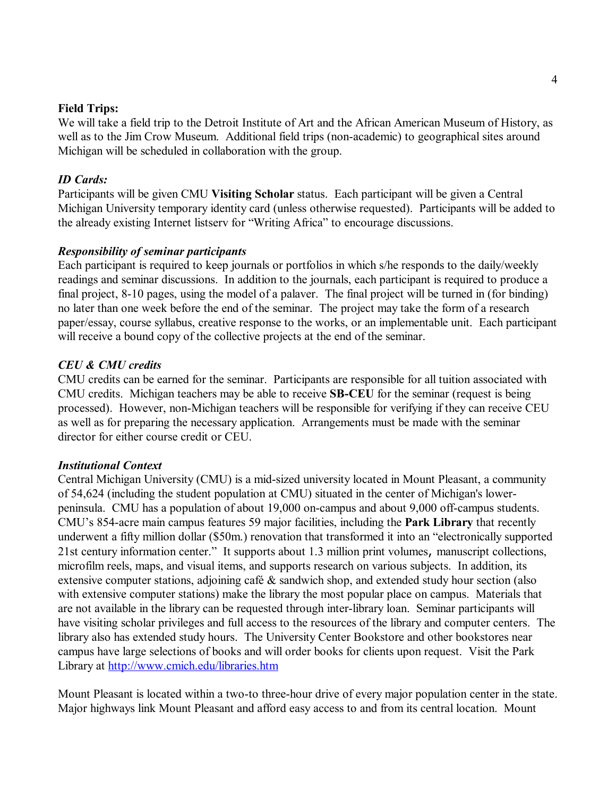## **Field Trips:**

We will take a field trip to the Detroit Institute of Art and the African American Museum of History, as well as to the Jim Crow Museum. Additional field trips (non-academic) to geographical sites around Michigan will be scheduled in collaboration with the group.

### *ID Cards:*

Participants will be given CMU **Visiting Scholar** status. Each participant will be given a Central Michigan University temporary identity card (unless otherwise requested). Participants will be added to the already existing Internet listserv for "Writing Africa" to encourage discussions.

#### *Responsibility of seminar participants*

Each participant is required to keep journals or portfolios in which s/he responds to the daily/weekly readings and seminar discussions. In addition to the journals, each participant is required to produce a final project, 8-10 pages, using the model of a palaver. The final project will be turned in (for binding) no later than one week before the end of the seminar. The project may take the form of a research paper/essay, course syllabus, creative response to the works, or an implementable unit. Each participant will receive a bound copy of the collective projects at the end of the seminar.

### *CEU & CMU credits*

CMU credits can be earned for the seminar. Participants are responsible for all tuition associated with CMU credits. Michigan teachers may be able to receive **SB-CEU** for the seminar (request is being processed). However, non-Michigan teachers will be responsible for verifying if they can receive CEU as well as for preparing the necessary application. Arrangements must be made with the seminar director for either course credit or CEU.

#### *Institutional Context*

Central Michigan University (CMU) is a mid-sized university located in Mount Pleasant, a community of 54,624 (including the student population at CMU) situated in the center of Michigan's lowerpeninsula. CMU has a population of about 19,000 on-campus and about 9,000 off-campus students. CMUís 854-acre main campus features 59 major facilities, including the **Park Library** that recently underwent a fifty million dollar (\$50m.) renovation that transformed it into an "electronically supported 21st century information center." It supports about 1.3 million print volumes, manuscript collections, microfilm reels, maps, and visual items, and supports research on various subjects. In addition, its extensive computer stations, adjoining café  $\&$  sandwich shop, and extended study hour section (also with extensive computer stations) make the library the most popular place on campus. Materials that are not available in the library can be requested through inter-library loan. Seminar participants will have visiting scholar privileges and full access to the resources of the library and computer centers. The library also has extended study hours. The University Center Bookstore and other bookstores near campus have large selections of books and will order books for clients upon request. Visit the Park Library at http://www.cmich.edu/libraries.htm

Mount Pleasant is located within a two-to three-hour drive of every major population center in the state. Major highways link Mount Pleasant and afford easy access to and from its central location. Mount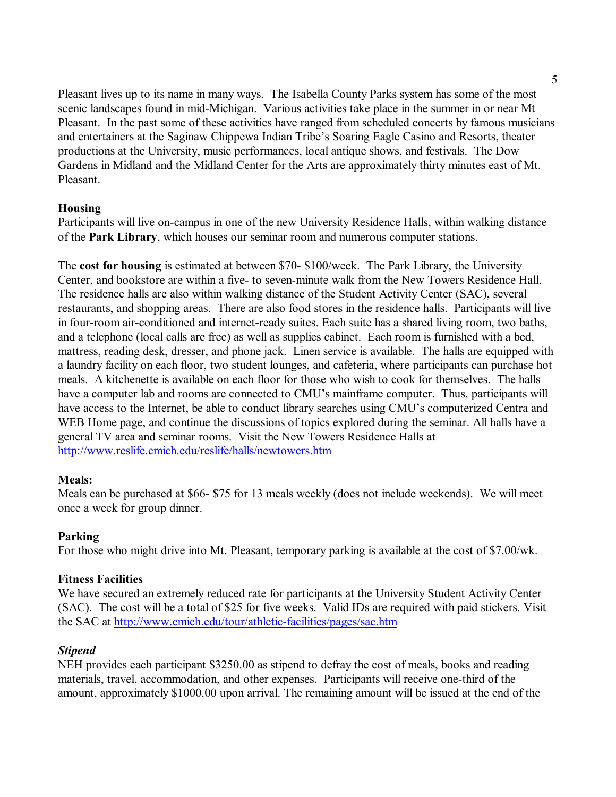Pleasant lives up to its name in many ways. The Isabella County Parks system has some of the most scenic landscapes found in mid-Michigan. Various activities take place in the summer in or near Mt Pleasant. In the past some of these activities have ranged from scheduled concerts by famous musicians and entertainers at the Saginaw Chippewa Indian Tribe's Soaring Eagle Casino and Resorts, theater productions at the University, music performances, local antique shows, and festivals. The Dow Gardens in Midland and the Midland Center for the Arts are approximately thirty minutes east of Mt. Pleasant.

# **Housing**

Participants will live on-campus in one of the new University Residence Halls, within walking distance of the **Park Library**, which houses our seminar room and numerous computer stations.

The **cost for housing** is estimated at between \$70- \$100/week. The Park Library, the University Center, and bookstore are within a five- to seven-minute walk from the New Towers Residence Hall. The residence halls are also within walking distance of the Student Activity Center (SAC), several restaurants, and shopping areas. There are also food stores in the residence halls. Participants will live in four-room air-conditioned and internet-ready suites. Each suite has a shared living room, two baths, and a telephone (local calls are free) as well as supplies cabinet. Each room is furnished with a bed, mattress, reading desk, dresser, and phone jack. Linen service is available. The halls are equipped with a laundry facility on each floor, two student lounges, and cafeteria, where participants can purchase hot meals. A kitchenette is available on each floor for those who wish to cook for themselves. The halls have a computer lab and rooms are connected to CMU's mainframe computer. Thus, participants will have access to the Internet, be able to conduct library searches using CMU's computerized Centra and WEB Home page, and continue the discussions of topics explored during the seminar. All halls have a general TV area and seminar rooms. Visit the New Towers Residence Halls at http://www.reslife.cmich.edu/reslife/halls/newtowers.htm

# **Meals:**

Meals can be purchased at \$66- \$75 for 13 meals weekly (does not include weekends). We will meet once a week for group dinner.

# **Parking**

For those who might drive into Mt. Pleasant, temporary parking is available at the cost of \$7.00/wk.

# **Fitness Facilities**

We have secured an extremely reduced rate for participants at the University Student Activity Center (SAC). The cost will be a total of \$25 for five weeks. Valid IDs are required with paid stickers. Visit the SAC at http://www.cmich.edu/tour/athletic-facilities/pages/sac.htm

# *Stipend*

NEH provides each participant \$3250.00 as stipend to defray the cost of meals, books and reading materials, travel, accommodation, and other expenses. Participants will receive one-third of the amount, approximately \$1000.00 upon arrival. The remaining amount will be issued at the end of the